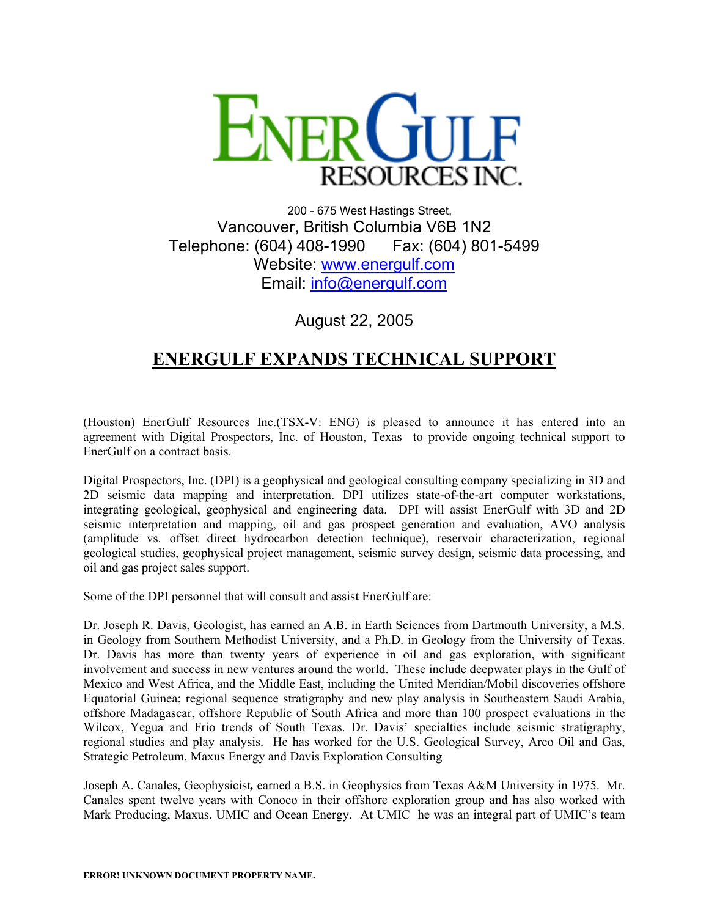

200 - 675 West Hastings Street, Vancouver, British Columbia V6B 1N2 Telephone: (604) 408-1990 Fax: (604) 801-5499 Website: [www.energulf.com](http://www.energulf.com/) Email: [info@energulf.com](mailto:info@energulf.com)

August 22, 2005

## **ENERGULF EXPANDS TECHNICAL SUPPORT**

(Houston) EnerGulf Resources Inc.(TSX-V: ENG) is pleased to announce it has entered into an agreement with Digital Prospectors, Inc. of Houston, Texas to provide ongoing technical support to EnerGulf on a contract basis.

Digital Prospectors, Inc. (DPI) is a geophysical and geological consulting company specializing in 3D and 2D seismic data mapping and interpretation. DPI utilizes state-of-the-art computer workstations, integrating geological, geophysical and engineering data. DPI will assist EnerGulf with 3D and 2D seismic interpretation and mapping, oil and gas prospect generation and evaluation, AVO analysis (amplitude vs. offset direct hydrocarbon detection technique), reservoir characterization, regional geological studies, geophysical project management, seismic survey design, seismic data processing, and oil and gas project sales support.

Some of the DPI personnel that will consult and assist EnerGulf are:

Dr. Joseph R. Davis, Geologist, has earned an A.B. in Earth Sciences from Dartmouth University, a M.S. in Geology from Southern Methodist University, and a Ph.D. in Geology from the University of Texas. Dr. Davis has more than twenty years of experience in oil and gas exploration, with significant involvement and success in new ventures around the world. These include deepwater plays in the Gulf of Mexico and West Africa, and the Middle East, including the United Meridian/Mobil discoveries offshore Equatorial Guinea; regional sequence stratigraphy and new play analysis in Southeastern Saudi Arabia, offshore Madagascar, offshore Republic of South Africa and more than 100 prospect evaluations in the Wilcox, Yegua and Frio trends of South Texas. Dr. Davis' specialties include seismic stratigraphy, regional studies and play analysis. He has worked for the U.S. Geological Survey, Arco Oil and Gas, Strategic Petroleum, Maxus Energy and Davis Exploration Consulting

Joseph A. Canales, Geophysicist*,* earned a B.S. in Geophysics from Texas A&M University in 1975. Mr. Canales spent twelve years with Conoco in their offshore exploration group and has also worked with Mark Producing, Maxus, UMIC and Ocean Energy. At UMIC he was an integral part of UMIC's team